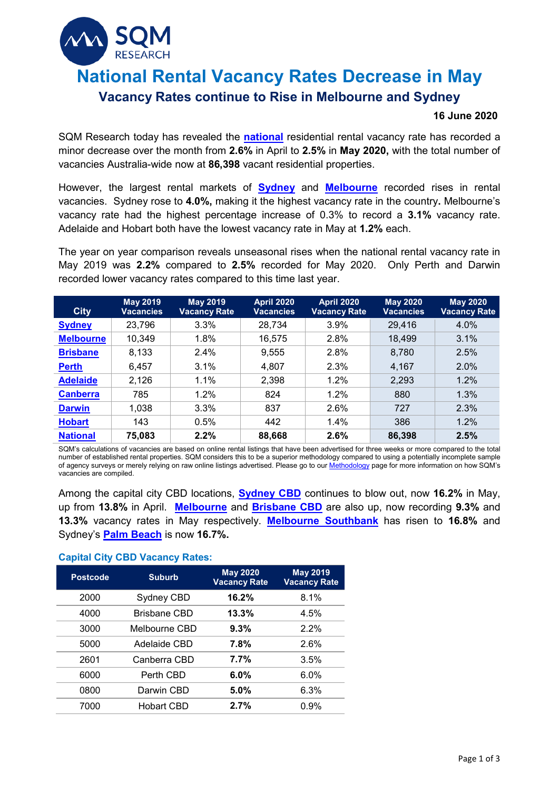# **National Rental Vacancy Rates Decrease in May**

# **Vacancy Rates continue to Rise in Melbourne and Sydney**

#### **16 June 2020**

SQM Research today has revealed the **[national](https://sqmresearch.com.au/graph_vacancy.php?national=1&t=1)** residential rental vacancy rate has recorded a minor decrease over the month from **2.6%** in April to **2.5%** in **May 2020,** with the total number of vacancies Australia-wide now at **86,398** vacant residential properties.

However, the largest rental markets of **[Sydney](https://sqmresearch.com.au/graph_vacancy.php?region=nsw%3A%3ASydney&type=c&t=1)** and **[Melbourne](https://sqmresearch.com.au/graph_vacancy.php?region=vic%3A%3AMelbourne&type=c&t=1)** recorded rises in rental vacancies. Sydney rose to **4.0%,** making it the highest vacancy rate in the country**.** Melbourne's vacancy rate had the highest percentage increase of 0.3% to record a **3.1%** vacancy rate. Adelaide and Hobart both have the lowest vacancy rate in May at **1.2%** each.

The year on year comparison reveals unseasonal rises when the national rental vacancy rate in May 2019 was **2.2%** compared to **2.5%** recorded for May 2020. Only Perth and Darwin recorded lower vacancy rates compared to this time last year.

| <b>City</b>      | <b>May 2019</b><br><b>Vacancies</b> | <b>May 2019</b><br><b>Vacancy Rate</b> | <b>April 2020</b><br><b>Vacancies</b> | <b>April 2020</b><br><b>Vacancy Rate</b> | <b>May 2020</b><br><b>Vacancies</b> | <b>May 2020</b><br><b>Vacancy Rate</b> |
|------------------|-------------------------------------|----------------------------------------|---------------------------------------|------------------------------------------|-------------------------------------|----------------------------------------|
| <b>Sydney</b>    | 23,796                              | 3.3%                                   | 28,734                                | $3.9\%$                                  | 29,416                              | 4.0%                                   |
| <b>Melbourne</b> | 10,349                              | 1.8%                                   | 16,575                                | 2.8%                                     | 18,499                              | 3.1%                                   |
| <b>Brisbane</b>  | 8,133                               | 2.4%                                   | 9,555                                 | 2.8%                                     | 8,780                               | 2.5%                                   |
| <b>Perth</b>     | 6,457                               | 3.1%                                   | 4,807                                 | 2.3%                                     | 4,167                               | 2.0%                                   |
| <b>Adelaide</b>  | 2,126                               | 1.1%                                   | 2,398                                 | 1.2%                                     | 2,293                               | 1.2%                                   |
| <b>Canberra</b>  | 785                                 | $1.2\%$                                | 824                                   | 1.2%                                     | 880                                 | 1.3%                                   |
| <b>Darwin</b>    | 1,038                               | 3.3%                                   | 837                                   | 2.6%                                     | 727                                 | 2.3%                                   |
| <b>Hobart</b>    | 143                                 | 0.5%                                   | 442                                   | 1.4%                                     | 386                                 | 1.2%                                   |
| <b>National</b>  | 75,083                              | 2.2%                                   | 88,668                                | 2.6%                                     | 86,398                              | 2.5%                                   |

SQM's calculations of vacancies are based on online rental listings that have been advertised for three weeks or more compared to the total number of established rental properties. SQM considers this to be a superior methodology compared to using a potentially incomplete sample of agency surveys or merely relying on raw online listings advertised. Please go to ou[r Methodology](https://sqmresearch.com.au/graph_vacancy.php?region=nsw::Sydney&type=c&t=1#terms) page for more information on how SQM's vacancies are compiled.

Among the capital city CBD locations, **[Sydney CBD](https://sqmresearch.com.au/graph_vacancy.php?postcode=2000&t=1)** continues to blow out, now **16.2%** in May, up from **13.8%** in April. **[Melbourne](https://sqmresearch.com.au/graph_vacancy.php?postcode=3000&t=1)** and **[Brisbane CBD](https://sqmresearch.com.au/graph_vacancy.php?postcode=4000&t=1)** are also up, now recording **9.3%** and **13.3%** vacancy rates in May respectively. **[Melbourne Southbank](https://sqmresearch.com.au/graph_vacancy.php?postcode=3006&t=1)** has risen to **16.8%** and Sydney's **[Palm Beach](https://sqmresearch.com.au/graph_vacancy.php?postcode=2108&t=1)** is now **16.7%.**

### **Capital City CBD Vacancy Rates:**

| <b>Postcode</b> | <b>Suburb</b>       | <b>May 2020</b><br><b>Vacancy Rate</b> | <b>May 2019</b><br><b>Vacancy Rate</b> |
|-----------------|---------------------|----------------------------------------|----------------------------------------|
| 2000            | Sydney CBD          | 16.2%                                  | 8.1%                                   |
| 4000            | <b>Brisbane CBD</b> | 13.3%                                  | 4.5%                                   |
| 3000            | Melbourne CBD       | 9.3%                                   | 2.2%                                   |
| 5000            | Adelaide CBD        | 7.8%                                   | 2.6%                                   |
| 2601            | Canberra CBD        | 7.7%                                   | 3.5%                                   |
| 6000            | Perth CBD           | 6.0%                                   | $6.0\%$                                |
| 0800            | Darwin CBD          | 5.0%                                   | 6.3%                                   |
| 7000            | Hobart CBD          | 2.7%                                   | 0.9%                                   |
|                 |                     |                                        |                                        |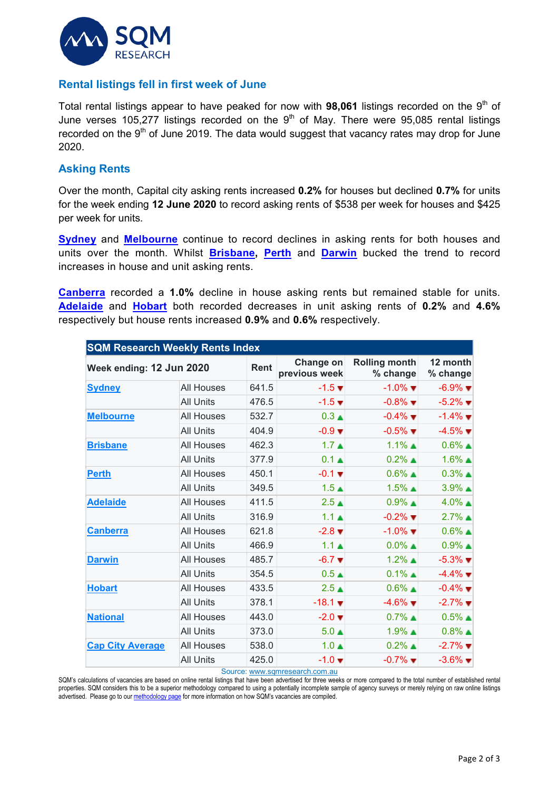

# **Rental listings fell in first week of June**

Total rental listings appear to have peaked for now with 98,061 listings recorded on the 9<sup>th</sup> of June verses 105,277 listings recorded on the  $9<sup>th</sup>$  of May. There were 95,085 rental listings recorded on the  $9<sup>th</sup>$  of June 2019. The data would suggest that vacancy rates may drop for June 2020.

## **Asking Rents**

Over the month, Capital city asking rents increased **0.2%** for houses but declined **0.7%** for units for the week ending **12 June 2020** to record asking rents of \$538 per week for houses and \$425 per week for units.

**[Sydney](https://sqmresearch.com.au/weekly-rents.php?region=nsw%3A%3ASydney&type=c&t=1)** and **[Melbourne](https://sqmresearch.com.au/weekly-rents.php?region=vic%3A%3AMelbourne&type=c&t=1)** continue to record declines in asking rents for both houses and units over the month. Whilst **[Brisbane,](https://sqmresearch.com.au/weekly-rents.php?region=qld%3A%3ABrisbane&type=c&t=1) [Perth](https://sqmresearch.com.au/weekly-rents.php?region=wa%3A%3APerth&type=c&t=1)** and **[Darwin](https://sqmresearch.com.au/weekly-rents.php?region=nt-Darwin&type=c&t=1)** bucked the trend to record increases in house and unit asking rents.

**[Canberra](https://sqmresearch.com.au/weekly-rents.php?region=act%3A%3ACanberra&type=c&t=1)** recorded a **1.0%** decline in house asking rents but remained stable for units. **[Adelaide](https://sqmresearch.com.au/weekly-rents.php?region=sa%3A%3AAdelaide&type=c&t=1)** and **[Hobart](https://sqmresearch.com.au/weekly-rents.php?region=tas%3A%3AHobart&type=c&t=1)** both recorded decreases in unit asking rents of **0.2%** and **4.6%** respectively but house rents increased **0.9%** and **0.6%** respectively.

| <b>SQM Research Weekly Rents Index</b> |                   |                            |                                  |                               |                               |  |  |  |  |
|----------------------------------------|-------------------|----------------------------|----------------------------------|-------------------------------|-------------------------------|--|--|--|--|
| Week ending: 12 Jun 2020               | <b>Rent</b>       | Change on<br>previous week | <b>Rolling month</b><br>% change | 12 month<br>% change          |                               |  |  |  |  |
| <b>Sydney</b>                          | <b>All Houses</b> | 641.5                      | $-1.5$ $\blacktriangledown$      | $-1.0\%$ $\blacksquare$       | $-6.9\%$ $\blacksquare$       |  |  |  |  |
|                                        | <b>All Units</b>  | 476.5                      | $-1.5$ $\blacktriangledown$      | $-0.8\%$ $\blacksquare$       | $-5.2\%$ $\blacksquare$       |  |  |  |  |
| <b>Melbourne</b>                       | <b>All Houses</b> | 532.7                      | $0.3 \triangle$                  | $-0.4\%$ $\blacksquare$       | $-1.4\%$                      |  |  |  |  |
|                                        | <b>All Units</b>  | 404.9                      | $-0.9$ $\blacktriangledown$      | $-0.5\%$ $\blacktriangledown$ | $-4.5\%$ $\blacktriangledown$ |  |  |  |  |
| <b>Brisbane</b>                        | <b>All Houses</b> | 462.3                      | 1.7 <sub>•</sub>                 | $1.1\%$ $\triangle$           | $0.6\%$                       |  |  |  |  |
|                                        | <b>All Units</b>  | 377.9                      | $0.1 \triangle$                  | $0.2\%$                       | $1.6\%$ $\triangle$           |  |  |  |  |
| <b>Perth</b>                           | <b>All Houses</b> | 450.1                      | $-0.1 \blacktriangledown$        | $0.6\%$                       | $0.3\%$ $\triangle$           |  |  |  |  |
|                                        | <b>All Units</b>  | 349.5                      | 1.5 <sub>A</sub>                 | $1.5\%$ $\triangle$           | $3.9\%$ $\triangle$           |  |  |  |  |
| <b>Adelaide</b>                        | All Houses        | 411.5                      | 2.5 <sub>A</sub>                 | $0.9\%$                       | $4.0\%$ $\triangle$           |  |  |  |  |
|                                        | <b>All Units</b>  | 316.9                      | 1.1 <sub>A</sub>                 | $-0.2\%$ $\blacksquare$       | $2.7\%$ $\triangle$           |  |  |  |  |
| <b>Canberra</b>                        | All Houses        | 621.8                      | $-2.8 \blacktriangledown$        | $-1.0\%$ $\blacksquare$       | $0.6\%$                       |  |  |  |  |
|                                        | <b>All Units</b>  | 466.9                      | 1.1 <sub>A</sub>                 | $0.0\%$ $\triangle$           | $0.9\%$ $\triangle$           |  |  |  |  |
| <b>Darwin</b>                          | <b>All Houses</b> | 485.7                      | $-6.7$ $\blacktriangledown$      | $1.2\%$ $\triangle$           | $-5.3\%$ $\blacktriangledown$ |  |  |  |  |
|                                        | <b>All Units</b>  | 354.5                      | 0.5 <sub>•</sub>                 | $0.1\%$ $\triangle$           | $-4.4\%$                      |  |  |  |  |
| <b>Hobart</b>                          | All Houses        | 433.5                      | $2.5 \triangle$                  | $0.6\%$ $\triangle$           | $-0.4\%$ $\blacksquare$       |  |  |  |  |
|                                        | <b>All Units</b>  | 378.1                      | $-18.1$ $\blacktriangledown$     | $-4.6\%$ $-$                  | $-2.7\%$ $\blacksquare$       |  |  |  |  |
| <b>National</b>                        | <b>All Houses</b> | 443.0                      | $-2.0 \blacktriangledown$        | $0.7\%$                       | $0.5\%$                       |  |  |  |  |
|                                        | <b>All Units</b>  | 373.0                      | $5.0 \triangle$                  | $1.9\%$ $\triangle$           | $0.8\%$                       |  |  |  |  |
| <b>Cap City Average</b>                | <b>All Houses</b> | 538.0                      | $1.0 \triangle$                  | $0.2\%$ $\triangle$           | $-2.7\%$ $\blacksquare$       |  |  |  |  |
|                                        | <b>All Units</b>  | 425.0                      | $-1.0 \blacktriangledown$        | $-0.7\%$ $\blacksquare$       | $-3.6\%$ $\blacksquare$       |  |  |  |  |

Source[: www.sqmresearch.com.au](http://www.sqmresearch.com.au/)

SQM's calculations of vacancies are based on online rental listings that have been advertised for three weeks or more compared to the total number of established rental properties. SQM considers this to be a superior methodology compared to using a potentially incomplete sample of agency surveys or merely relying on raw online listings advertised. Please go to ou[r methodology page](https://sqmresearch.com.au/pdfs/methodologydocumentrentsindex.pdf) for more information on how SQM's vacancies are compiled.